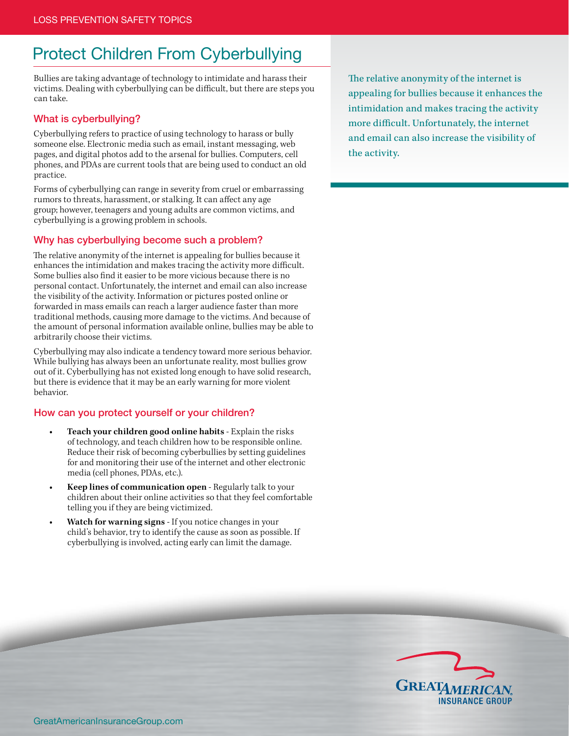# Protect Children From Cyberbullying

Bullies are taking advantage of technology to intimidate and harass their victims. Dealing with cyberbullying can be difficult, but there are steps you can take.

#### What is cyberbullying?

Cyberbullying refers to practice of using technology to harass or bully someone else. Electronic media such as email, instant messaging, web pages, and digital photos add to the arsenal for bullies. Computers, cell phones, and PDAs are current tools that are being used to conduct an old practice.

Forms of cyberbullying can range in severity from cruel or embarrassing rumors to threats, harassment, or stalking. It can affect any age group; however, teenagers and young adults are common victims, and cyberbullying is a growing problem in schools.

### Why has cyberbullying become such a problem?

The relative anonymity of the internet is appealing for bullies because it enhances the intimidation and makes tracing the activity more difficult. Some bullies also find it easier to be more vicious because there is no personal contact. Unfortunately, the internet and email can also increase the visibility of the activity. Information or pictures posted online or forwarded in mass emails can reach a larger audience faster than more traditional methods, causing more damage to the victims. And because of the amount of personal information available online, bullies may be able to arbitrarily choose their victims.

Cyberbullying may also indicate a tendency toward more serious behavior. While bullying has always been an unfortunate reality, most bullies grow out of it. Cyberbullying has not existed long enough to have solid research, but there is evidence that it may be an early warning for more violent behavior.

#### How can you protect yourself or your children?

- **• Teach your children good online habits** Explain the risks of technology, and teach children how to be responsible online. Reduce their risk of becoming cyberbullies by setting guidelines for and monitoring their use of the internet and other electronic media (cell phones, PDAs, etc.).
- **• Keep lines of communication open** Regularly talk to your children about their online activities so that they feel comfortable telling you if they are being victimized.
- **Watch for warning signs** If you notice changes in your child's behavior, try to identify the cause as soon as possible. If cyberbullying is involved, acting early can limit the damage.

The relative anonymity of the internet is appealing for bullies because it enhances the intimidation and makes tracing the activity more difficult. Unfortunately, the internet and email can also increase the visibility of the activity.